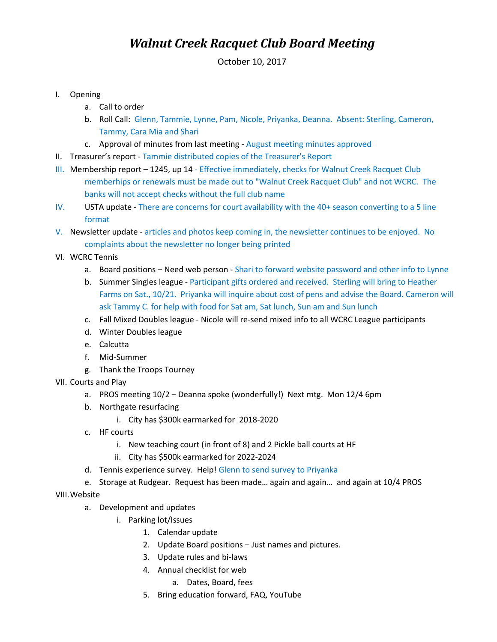## *Walnut Creek Racquet Club Board Meeting*

October 10, 2017

- I. Opening
	- a. Call to order
	- b. Roll Call: Glenn, Tammie, Lynne, Pam, Nicole, Priyanka, Deanna. Absent: Sterling, Cameron, Tammy, Cara Mia and Shari
	- c. Approval of minutes from last meeting August meeting minutes approved
- II. Treasurer's report Tammie distributed copies of the Treasurer's Report
- III. Membership report 1245, up 14 Effective immediately, checks for Walnut Creek Racquet Club memberhips or renewals must be made out to "Walnut Creek Racquet Club" and not WCRC. The banks will not accept checks without the full club name
- IV. USTA update There are concerns for court availability with the 40+ season converting to a 5 line format
- V. Newsletter update articles and photos keep coming in, the newsletter continues to be enjoyed. No complaints about the newsletter no longer being printed
- VI. WCRC Tennis
	- a. Board positions Need web person Shari to forward website password and other info to Lynne
	- b. Summer Singles league Participant gifts ordered and received. Sterling will bring to Heather Farms on Sat., 10/21. Priyanka will inquire about cost of pens and advise the Board. Cameron will ask Tammy C. for help with food for Sat am, Sat lunch, Sun am and Sun lunch
	- c. Fall Mixed Doubles league Nicole will re-send mixed info to all WCRC League participants
	- d. Winter Doubles league
	- e. Calcutta
	- f. Mid-Summer
	- g. Thank the Troops Tourney
- VII. Courts and Play
	- a. PROS meeting 10/2 Deanna spoke (wonderfully!) Next mtg. Mon 12/4 6pm
	- b. Northgate resurfacing
		- i. City has \$300k earmarked for 2018-2020
	- c. HF courts
		- i. New teaching court (in front of 8) and 2 Pickle ball courts at HF
		- ii. City has \$500k earmarked for 2022-2024
	- d. Tennis experience survey. Help! Glenn to send survey to Priyanka
	- e. Storage at Rudgear. Request has been made… again and again… and again at 10/4 PROS

VIII.Website

- a. Development and updates
	- i. Parking lot/Issues
		- 1. Calendar update
		- 2. Update Board positions Just names and pictures.
		- 3. Update rules and bi-laws
		- 4. Annual checklist for web
			- a. Dates, Board, fees
		- 5. Bring education forward, FAQ, YouTube